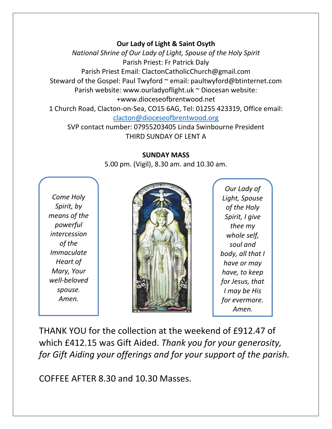## **Our Lady of Light & Saint Osyth**

*National Shrine of Our Lady of Light, Spouse of the Holy Spirit* Parish Priest: Fr Patrick Daly Parish Priest Email: ClactonCatholicChurch@gmail.com Steward of the Gospel: Paul Twyford ~ email: paultwyford@btinternet.com Parish website: www.ourladyoflight.uk ~ Diocesan website: +www.dioceseofbrentwood.net 1 Church Road, Clacton-on-Sea, CO15 6AG, Tel: 01255 423319, Office email: [clacton@dioceseofbrentwood.org](mailto:clacton@dioceseofbrentwood.org)

SVP contact number: 07955203405 Linda Swinbourne President THIRD SUNDAY OF LENT A

## **SUNDAY MASS**

5.00 pm. (Vigil), 8.30 am. and 10.30 am.

*Come Holy Spirit, by means of the powerful intercession of the Immaculate Heart of Mary, Your well-beloved spouse. Amen.*



*Our Lady of Light, Spouse of the Holy Spirit, I give thee my whole self, soul and body, all that I have or may have, to keep for Jesus, that I may be His for evermore. Amen.*

THANK YOU for the collection at the weekend of £912.47 of which £412.15 was Gift Aided. *Thank you for your generosity, for Gift Aiding your offerings and for your support of the parish.*

COFFEE AFTER 8.30 and 10.30 Masses.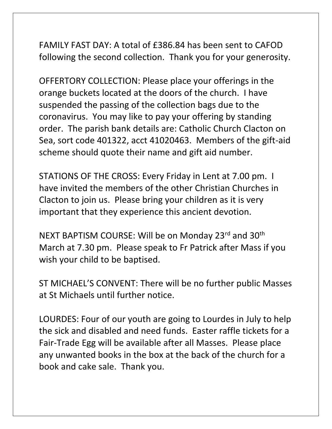FAMILY FAST DAY: A total of £386.84 has been sent to CAFOD following the second collection. Thank you for your generosity.

OFFERTORY COLLECTION: Please place your offerings in the orange buckets located at the doors of the church. I have suspended the passing of the collection bags due to the coronavirus. You may like to pay your offering by standing order. The parish bank details are: Catholic Church Clacton on Sea, sort code 401322, acct 41020463. Members of the gift-aid scheme should quote their name and gift aid number.

STATIONS OF THE CROSS: Every Friday in Lent at 7.00 pm. I have invited the members of the other Christian Churches in Clacton to join us. Please bring your children as it is very important that they experience this ancient devotion.

NEXT BAPTISM COURSE: Will be on Monday 23rd and 30<sup>th</sup> March at 7.30 pm. Please speak to Fr Patrick after Mass if you wish your child to be baptised.

ST MICHAEL'S CONVENT: There will be no further public Masses at St Michaels until further notice.

LOURDES: Four of our youth are going to Lourdes in July to help the sick and disabled and need funds. Easter raffle tickets for a Fair-Trade Egg will be available after all Masses. Please place any unwanted books in the box at the back of the church for a book and cake sale. Thank you.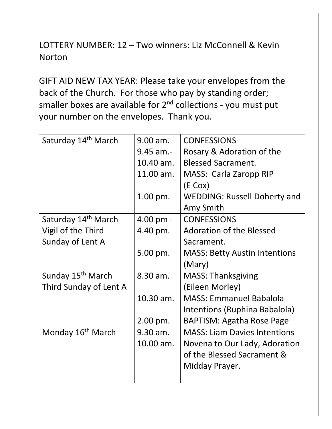LOTTERY NUMBER: 12 – Two winners: Liz McConnell & Kevin Norton

GIFT AID NEW TAX YEAR: Please take your envelopes from the back of the Church. For those who pay by standing order; smaller boxes are available for  $2<sup>nd</sup>$  collections - you must put your number on the envelopes. Thank you.

| Saturday 14th March             | 9.00 am.    | <b>CONFESSIONS</b>                   |
|---------------------------------|-------------|--------------------------------------|
|                                 | $9.45$ am.- | Rosary & Adoration of the            |
|                                 | 10.40 am.   | <b>Blessed Sacrament.</b>            |
|                                 | 11.00 am.   | MASS: Carla Zaropp RIP               |
|                                 |             | $(E \text{ Cox})$                    |
|                                 | $1.00$ pm.  | <b>WEDDING: Russell Doherty and</b>  |
|                                 |             | Amy Smith                            |
| Saturday 14 <sup>th</sup> March | 4.00 pm -   | <b>CONFESSIONS</b>                   |
| Vigil of the Third              | 4.40 pm.    | <b>Adoration of the Blessed</b>      |
| Sunday of Lent A                |             | Sacrament.                           |
|                                 | 5.00 pm.    | <b>MASS: Betty Austin Intentions</b> |
|                                 |             | (Mary)                               |
| Sunday 15 <sup>th</sup> March   | 8.30 am.    | <b>MASS: Thanksgiving</b>            |
| Third Sunday of Lent A          |             | (Eileen Morley)                      |
|                                 | 10.30 am.   | <b>MASS: Emmanuel Babalola</b>       |
|                                 |             | Intentions (Ruphina Babalola)        |
|                                 | 2.00 pm.    | <b>BAPTISM: Agatha Rose Page</b>     |
| Monday 16 <sup>th</sup> March   | 9.30 am.    | <b>MASS: Liam Davies Intentions</b>  |
|                                 | 10.00 am.   | Novena to Our Lady, Adoration        |
|                                 |             | of the Blessed Sacrament &           |
|                                 |             | Midday Prayer.                       |
|                                 |             |                                      |